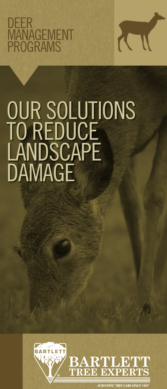## DEER MANAGEMENT PROGRAMS



# OUR SOLUTIONS TO REDUCE **LANDSCAPE** DAMAGE



**SCIENTIFIC TREE CARE SINCE**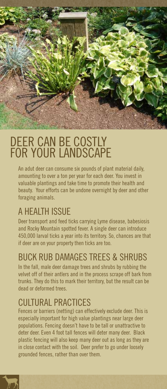

# DEER CAN BE COSTLY FOR YOUR LANDSCAPE

An adut deer can consume six pounds of plant material daily, amounting to over a ton per year for each deer. You invest in valuable plantings and take time to promote their health and beauty. Your efforts can be undone overnight by deer and other foraging animals.

### A HEALTH ISSUE

Deer transport and feed ticks carrying Lyme disease, babesiosis and Rocky Mountain spotted fever. A single deer can introduce 450,000 larval ticks a year into its territory. So, chances are that if deer are on your property then ticks are too.

### BUCK RUB DAMAGES TREES & SHRUBS

In the fall, male deer damage trees and shrubs by rubbing the velvet off of their antlers and in the process scrape off bark from trunks. They do this to mark their territory, but the result can be dead or deformed trees.

#### CULTURAL PRACTICES

Fences or barriers (netting) can effectively exclude deer. This is especially important for high value plantings near large deer populations. Fencing doesn't have to be tall or unattractive to deter deer. Even 4 foot tall fences will deter many deer. Black plastic fencing will also keep many deer out as long as they are in close contact with the soil. Deer prefer to go under loosely grounded fences, rather than over them.

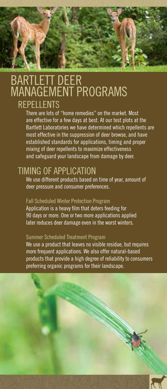#### BARTLETT DEER MANAGEMENT PROGRAMS **REPELLENTS**

There are lots of "home remedies" on the market. Most are effective for a few days at best. At our test plots at the Bartlett Laboratories we have determined which repellents are most effective in the suppression of deer browse, and have established standards for applications, timing and proper mixing of deer repellents to maximize effectiveness and safeguard your landscape from damage by deer.

#### TIMING OF APPLICATION

We use different products based on time of year, amount of deer pressure and consumer preferences.

#### Fall Scheduled Winter Protection Program

Application is a heavy film that deters feeding for 90 days or more. One or two more applications applied later reduces deer damage even in the worst winters.

#### Summer Scheduled Treatment Program

We use a product that leaves no visible residue, but requires more frequent applications. We also offer natural-based products that provide a high degree of reliability to consumers preferring organic programs for their landscape.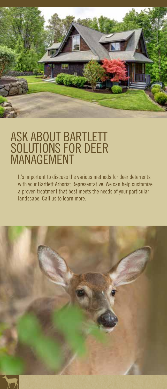

## ASK ABOUT BARTLETT SOLUTIONS FOR DEER MANAGEMENT

It's important to discuss the various methods for deer deterrents with your Bartlett Arborist Representative. We can help customize a proven treatment that best meets the needs of your particular landscape. Call us to learn more.



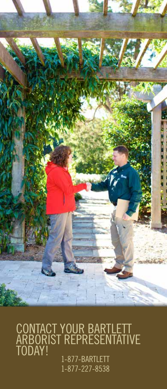

CONTACT YOUR BARTLETT ARBORIST REPRESENTATIVE TODAY! 1-877-BARTLETT 1-877-227-8538